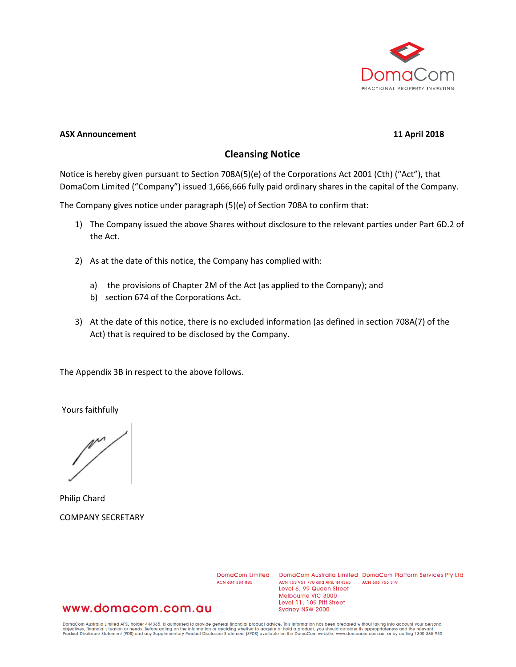

#### **ASX Announcement 11 April 2018**

#### **Cleansing Notice**

Notice is hereby given pursuant to Section 708A(5)(e) of the Corporations Act 2001 (Cth) ("Act"), that DomaCom Limited ("Company") issued 1,666,666 fully paid ordinary shares in the capital of the Company.

The Company gives notice under paragraph (5)(e) of Section 708A to confirm that:

- 1) The Company issued the above Shares without disclosure to the relevant parties under Part 6D.2 of the Act.
- 2) As at the date of this notice, the Company has complied with:
	- a) the provisions of Chapter 2M of the Act (as applied to the Company); and
	- b) section 674 of the Corporations Act.
- 3) At the date of this notice, there is no excluded information (as defined in section 708A(7) of the Act) that is required to be disclosed by the Company.

The Appendix 3B in respect to the above follows.

Yours faithfully

Philip Chard COMPANY SECRETARY

ACN 604 384 885

DomaCom Limited DomaCom Australia Limited DomaCom Platform Services Pty Ltd ACN 153 951 770 and AFSL 444365 ACN 606 755 319 Level 6, 99 Queen Street Melbourne VIC 3000 Level 11, 109 Pitt Street Sydney NSW 2000

#### www.domacom.com.au

DomaCom Australia Limited AFSL holder 444365, is authorised to provide general financial product advice. This information has been prepared without taking into account your personal<br>objectives, financial situation or needs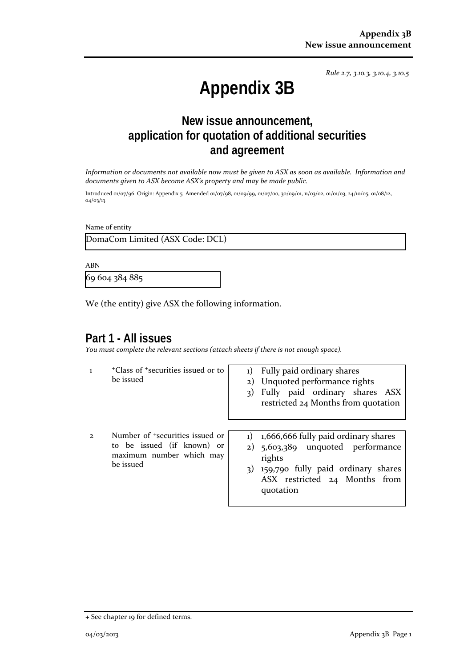*Rule 2.7, 3.10.3, 3.10.4, 3.10.5*

# **Appendix 3B**

# **New issue announcement, application for quotation of additional securities and agreement**

*Information or documents not available now must be given to ASX as soon as available. Information and documents given to ASX become ASX's property and may be made public.*

Introduced 01/07/96 Origin: Appendix 5 Amended 01/07/98, 01/09/99, 01/07/00, 30/09/01, 11/03/02, 01/01/03, 24/10/05, 01/08/12, 04/03/13

Name of entity

DomaCom Limited (ASX Code: DCL)

ABN

69 604 384 885

We (the entity) give ASX the following information.

## **Part 1 - All issues**

*You must complete the relevant sections (attach sheets if there is not enough space).*

- 1 +Class of +securities issued or to be issued
- 1) Fully paid ordinary shares
- 2) Unquoted performance rights
- 3) Fully paid ordinary shares ASX restricted 24 Months from quotation
- 2 Number of +securities issued or to be issued (if known) or maximum number which may be issued
- 1) 1,666,666 fully paid ordinary shares
- 2) 5,603,389 unquoted performance rights
- 3) 159,790 fully paid ordinary shares ASX restricted 24 Months from quotation

<sup>+</sup> See chapter 19 for defined terms.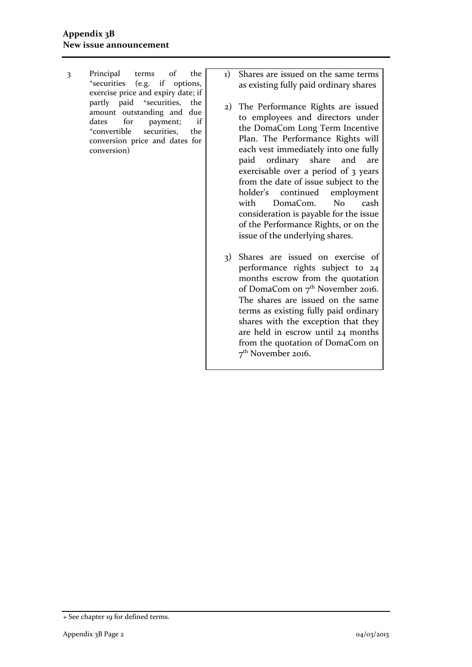- 3 Principal terms of the +securities (e.g. if options, exercise price and expiry date; if partly paid <sup>+</sup>securities, the amount outstanding and due dates for payment; if +convertible securities, the conversion price and dates for conversion)
- 1) Shares are issued on the same terms as existing fully paid ordinary shares
- 2) The Performance Rights are issued to employees and directors under the DomaCom Long Term Incentive Plan. The Performance Rights will each vest immediately into one fully paid ordinary share and are exercisable over a period of 3 years from the date of issue subject to the holder's continued employment with DomaCom. No cash consideration is payable for the issue of the Performance Rights, or on the issue of the underlying shares.
- 3) Shares are issued on exercise of performance rights subject to 24 months escrow from the quotation of DomaCom on 7<sup>th</sup> November 2016. The shares are issued on the same terms as existing fully paid ordinary shares with the exception that they are held in escrow until 24 months from the quotation of DomaCom on 7th November 2016.

<sup>+</sup> See chapter 19 for defined terms.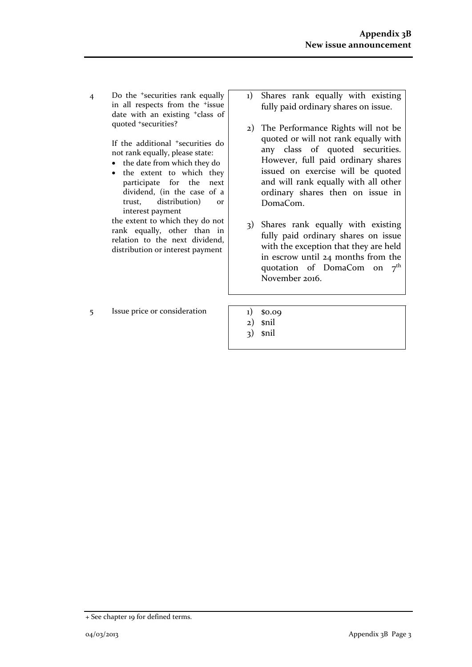4 Do the +securities rank equally in all respects from the +issue date with an existing +class of quoted +securities?

> If the additional +securities do not rank equally, please state:

- the date from which they do
- the extent to which they participate for the next dividend, (in the case of a trust, distribution) or interest payment

the extent to which they do not rank equally, other than in relation to the next dividend, distribution or interest payment

 $5$  Issue price or consideration  $1)$  \$0.09

- 1) Shares rank equally with existing fully paid ordinary shares on issue.
- 2) The Performance Rights will not be quoted or will not rank equally with any class of quoted securities. However, full paid ordinary shares issued on exercise will be quoted and will rank equally with all other ordinary shares then on issue in DomaCom.
- 3) Shares rank equally with existing fully paid ordinary shares on issue with the exception that they are held in escrow until 24 months from the quotation of DomaCom on  $7<sup>th</sup>$ November 2016.
- 
- 2) \$nil
- 3) \$nil

<sup>+</sup> See chapter 19 for defined terms.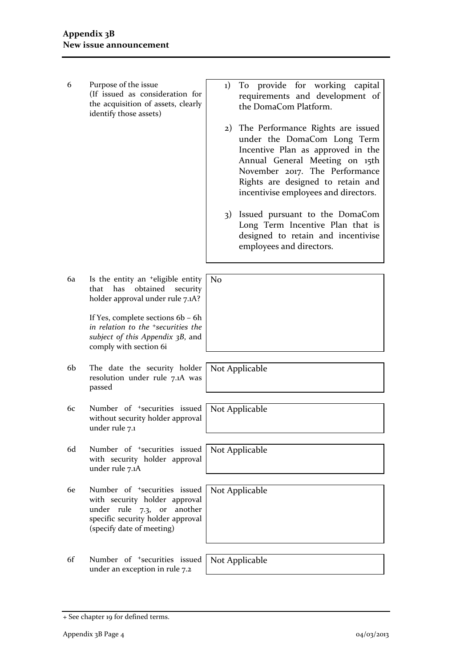- 6 Purpose of the issue (If issued as consideration for the acquisition of assets, clearly identify those assets)
- 1) To provide for working capital requirements and development of the DomaCom Platform.
- 2) The Performance Rights are issued under the DomaCom Long Term Incentive Plan as approved in the Annual General Meeting on 15th November 2017. The Performance Rights are designed to retain and incentivise employees and directors.
- 3) Issued pursuant to the DomaCom Long Term Incentive Plan that is designed to retain and incentivise employees and directors.
- 6a Is the entity an +eligible entity that has obtained security holder approval under rule 7.1A? No

If Yes, complete sections 6b – 6h *in relation to the +securities the subject of this Appendix 3B*, and comply with section 6i

6b The date the security holder resolution under rule 7.1A was passed

6d Number of +securities issued with security holder approval

6e Number of +securities issued with security holder approval under rule 7.3, or another specific security holder approval

(specify date of meeting)

under rule 7.1

under rule 7.1A

Not Applicable

6c Number of +securities issued without security holder approval Not Applicable

Not Applicable

Not Applicable

6f Number of +securities issued Not Applicable

under an exception in rule 7.2

<sup>+</sup> See chapter 19 for defined terms.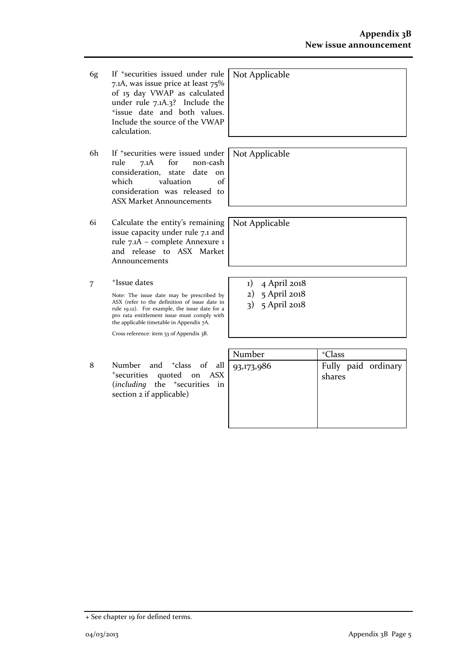6g If +securities issued under rule 7.1A, was issue price at least 75% of 15 day VWAP as calculated under rule 7.1A.3? Include the +issue date and both values. Include the source of the VWAP calculation.

- 6h If +securities were issued under rule 7.1A for non-cash consideration, state date on which valuation of consideration was released to ASX Market Announcements
- 6i Calculate the entity's remaining issue capacity under rule 7.1 and rule 7.1A – complete Annexure 1 and release to ASX Market Announcements
- 7 +Issue dates

Note: The issue date may be prescribed by ASX (refer to the definition of issue date in rule 19.12). For example, the issue date for a pro rata entitlement issue must comply with the applicable timetable in Appendix 7A.

Cross reference: item 33 of Appendix 3B.

8 Number and <sup>+</sup>class of all <sup>+</sup>securities quoted on ASX (*including* the <sup>+</sup>securities in section 2 if applicable)

| <sup>+</sup> Class            |
|-------------------------------|
| Fully paid ordinary<br>shares |
|                               |
|                               |
|                               |

Not Applicable

Not Applicable

Not Applicable

- 1) 4 April 2018
- 2) 5 April 2018
- 3) 5 April 2018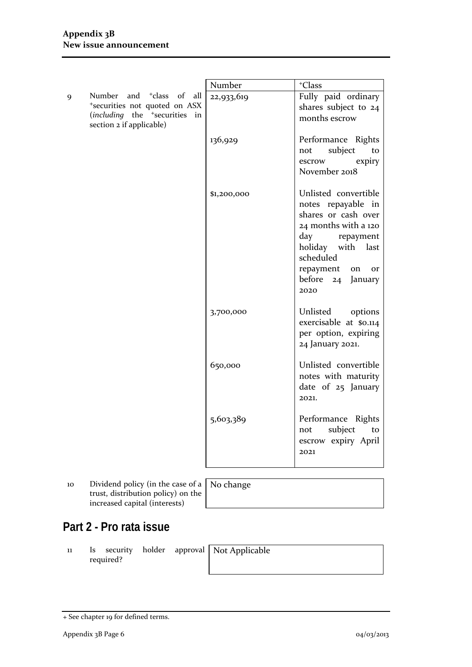|   |                                                                                                                                                   | Number      | <sup>+</sup> Class                                                                                                                                                                                                 |
|---|---------------------------------------------------------------------------------------------------------------------------------------------------|-------------|--------------------------------------------------------------------------------------------------------------------------------------------------------------------------------------------------------------------|
| 9 | Number and <sup>+</sup> class of<br>all<br>*securities not quoted on ASX<br>(including the <sup>+</sup> securities in<br>section 2 if applicable) | 22,933,619  | Fully paid ordinary<br>shares subject to 24<br>months escrow                                                                                                                                                       |
|   |                                                                                                                                                   | 136,929     | Performance Rights<br>subject<br>not<br>to<br>expiry<br>escrow<br>November 2018                                                                                                                                    |
|   |                                                                                                                                                   | \$1,200,000 | Unlisted convertible<br>notes repayable in<br>shares or cash over<br>24 months with a 120<br>day<br>repayment<br>holiday with last<br>scheduled<br>repayment<br>on<br><b>or</b><br>before<br>24<br>January<br>2020 |
|   |                                                                                                                                                   | 3,700,000   | Unlisted<br>options<br>exercisable at \$0.114<br>per option, expiring<br>24 January 2021.                                                                                                                          |
|   |                                                                                                                                                   | 650,000     | Unlisted convertible<br>notes with maturity<br>date of 25 January<br>2021.                                                                                                                                         |
|   |                                                                                                                                                   | 5,603,389   | Performance Rights<br>subject<br>not<br>to<br>escrow expiry April<br>2021                                                                                                                                          |

10 Dividend policy (in the case of a trust, distribution policy) on the increased capital (interests)

No change

# **Part 2 - Pro rata issue**

11 Is security holder approval required?

Not Applicable

<sup>+</sup> See chapter 19 for defined terms.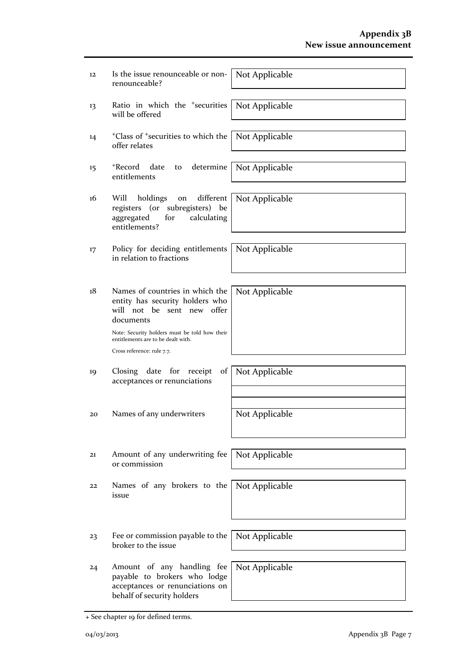| 12 | Is the issue renounceable or non-<br>renounceable?                                                                            | Not Applicable |
|----|-------------------------------------------------------------------------------------------------------------------------------|----------------|
| 13 | Ratio in which the <sup>+</sup> securities<br>will be offered                                                                 | Not Applicable |
| 14 | <sup>+</sup> Class of <sup>+</sup> securities to which the<br>offer relates                                                   | Not Applicable |
| 15 | <sup>+</sup> Record<br>determine<br>date<br>to<br>entitlements                                                                | Not Applicable |
| 16 | different<br>Will<br>holdings<br>on<br>registers (or subregisters)<br>be<br>aggregated<br>for<br>calculating<br>entitlements? | Not Applicable |
| 17 | Policy for deciding entitlements<br>in relation to fractions                                                                  | Not Applicable |
| 18 | Names of countries in which the<br>entity has security holders who<br>will not be sent new offer<br>documents                 | Not Applicable |
|    | Note: Security holders must be told how their<br>entitlements are to be dealt with.<br>Cross reference: rule 7.7.             |                |
| 19 | date for<br>$\sigma$ f<br>Closing<br>receipt<br>acceptances or renunciations                                                  | Not Applicable |
| 20 | Names of any underwriters                                                                                                     | Not Applicable |
| 21 | Amount of any underwriting fee<br>or commission                                                                               | Not Applicable |
| 22 | Names of any brokers to the<br>issue                                                                                          | Not Applicable |
|    |                                                                                                                               |                |
| 23 | Fee or commission payable to the<br>broker to the issue                                                                       | Not Applicable |
| 24 | Amount of any handling fee<br>payable to brokers who lodge<br>acceptances or renunciations on<br>behalf of security holders   | Not Applicable |

<sup>+</sup> See chapter 19 for defined terms.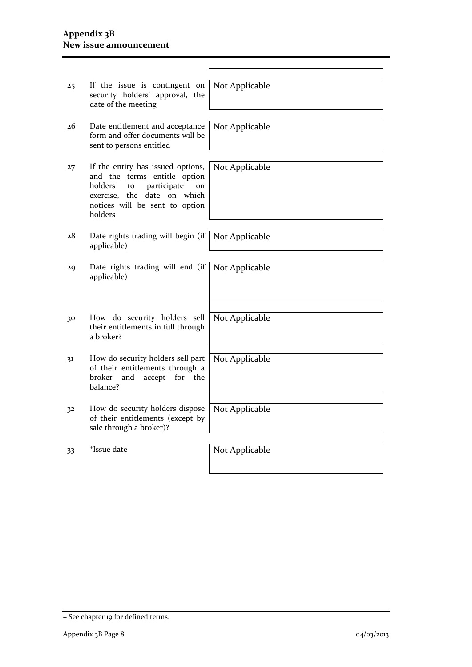| 25 | If the issue is contingent on<br>security holders' approval, the<br>date of the meeting                                                                                                | Not Applicable |
|----|----------------------------------------------------------------------------------------------------------------------------------------------------------------------------------------|----------------|
|    |                                                                                                                                                                                        |                |
| 26 | Date entitlement and acceptance<br>form and offer documents will be<br>sent to persons entitled                                                                                        | Not Applicable |
|    |                                                                                                                                                                                        |                |
| 27 | If the entity has issued options,<br>and the terms entitle option<br>holders<br>participate<br>to<br>on<br>date on which<br>exercise, the<br>notices will be sent to option<br>holders | Not Applicable |
|    |                                                                                                                                                                                        |                |
| 28 | Date rights trading will begin (if<br>applicable)                                                                                                                                      | Not Applicable |
|    |                                                                                                                                                                                        |                |
| 29 | Date rights trading will end (if<br>applicable)                                                                                                                                        | Not Applicable |
|    |                                                                                                                                                                                        |                |
| 30 | How do security holders sell<br>their entitlements in full through<br>a broker?                                                                                                        | Not Applicable |
|    |                                                                                                                                                                                        |                |
| 31 | How do security holders sell part<br>of their entitlements through a<br>broker<br>and<br>accept<br>for<br>the<br>balance?                                                              | Not Applicable |
|    |                                                                                                                                                                                        |                |
| 32 | How do security holders dispose<br>of their entitlements (except by<br>sale through a broker)?                                                                                         | Not Applicable |
|    |                                                                                                                                                                                        |                |
| 33 | <sup>+</sup> Issue date                                                                                                                                                                | Not Applicable |
|    |                                                                                                                                                                                        |                |

<sup>+</sup> See chapter 19 for defined terms.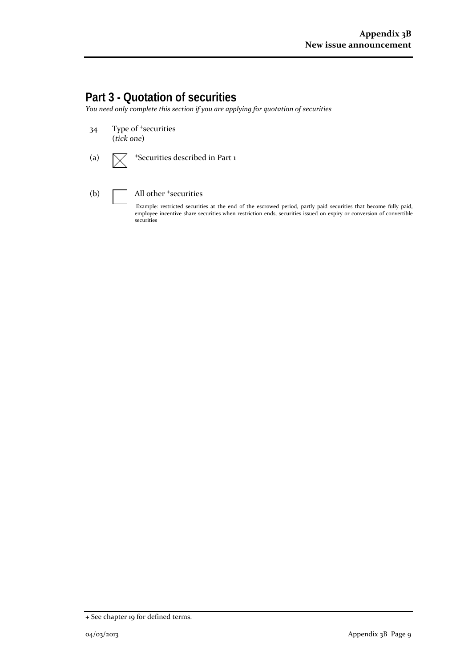# **Part 3 - Quotation of securities**

*You need only complete this section if you are applying for quotation of securities*

- 34 Type of <sup>+</sup>securities (*tick one*)
- (a)  $\sqrt{\phantom{a}}$  +Securities described in Part 1
- 

#### (b)  $\Box$  All other  $\overline{\phantom{a}}$  securities

Example: restricted securities at the end of the escrowed period, partly paid securities that become fully paid, employee incentive share securities when restriction ends, securities issued on expiry or conversion of convertible securities

<sup>+</sup> See chapter 19 for defined terms.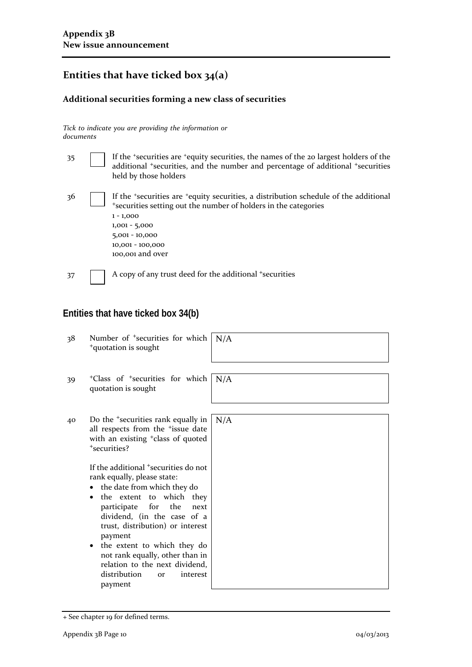# **Entities that have ticked box 34(a)**

### **Additional securities forming a new class of securities**

*Tick to indicate you are providing the information or documents*

| 35 | If the 'securities are 'equity securities, the names of the 20 largest holders of the<br>additional *securities, and the number and percentage of additional *securities<br>held by those holders                                                                   |
|----|---------------------------------------------------------------------------------------------------------------------------------------------------------------------------------------------------------------------------------------------------------------------|
| 36 | If the <i>*securities</i> are <i>*equity</i> securities, a distribution schedule of the additional<br>*securities setting out the number of holders in the categories<br>$1 - 1,000$<br>$1,001 - 5,000$<br>$5,001 - 10,000$<br>10,001 - 100,000<br>100,001 and over |
| 37 | A copy of any trust deed for the additional +securities                                                                                                                                                                                                             |

# **Entities that have ticked box 34(b)**

| 38 | Number of <sup>+</sup> securities for which<br><sup>+</sup> quotation is sought                                                                                                                                                                                                                                                                                                                                                                                                                                                                                                           | N/A |
|----|-------------------------------------------------------------------------------------------------------------------------------------------------------------------------------------------------------------------------------------------------------------------------------------------------------------------------------------------------------------------------------------------------------------------------------------------------------------------------------------------------------------------------------------------------------------------------------------------|-----|
| 39 | <sup>+</sup> Class of <sup>+</sup> securities for which<br>quotation is sought                                                                                                                                                                                                                                                                                                                                                                                                                                                                                                            | N/A |
| 40 | Do the <sup>+</sup> securities rank equally in<br>all respects from the <sup>+</sup> issue date<br>with an existing <sup>+</sup> class of quoted<br>*securities?<br>If the additional <sup>+</sup> securities do not<br>rank equally, please state:<br>the date from which they do<br>the extent to which they<br>for<br>the<br>participate<br>next<br>dividend, (in the case of a<br>trust, distribution) or interest<br>payment<br>the extent to which they do<br>not rank equally, other than in<br>relation to the next dividend,<br>distribution<br>interest<br><b>or</b><br>payment | N/A |

<sup>+</sup> See chapter 19 for defined terms.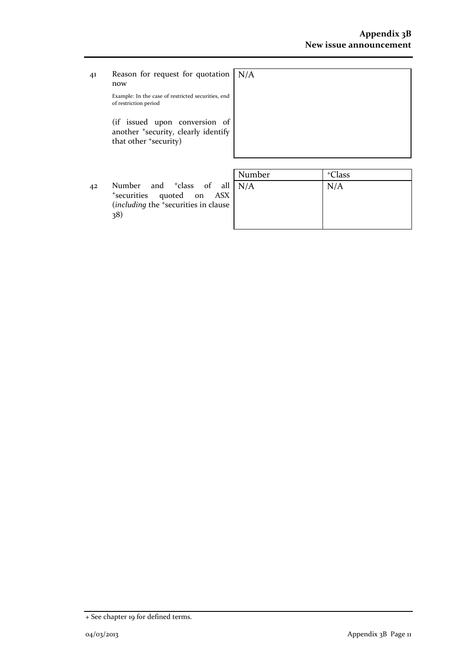41 Reason for request for quotation now Example: In the case of restricted securities, end N/A

of restriction period

(if issued upon conversion of another <sup>+</sup>security, clearly identify that other <sup>+</sup>security)

| $\mathbf{M}$ $\mathbf{I}$ | $\pm$ $\sim$ 1 |  |
|---------------------------|----------------|--|

42 Number and <sup>+</sup>class of all <sup>+</sup>securities quoted on ASX (*including* the <sup>+</sup>securities in clause 38)

| Number | <sup>+</sup> Class |
|--------|--------------------|
| N/A    | N/A                |
|        |                    |
|        |                    |
|        |                    |
|        |                    |

<sup>+</sup> See chapter 19 for defined terms.